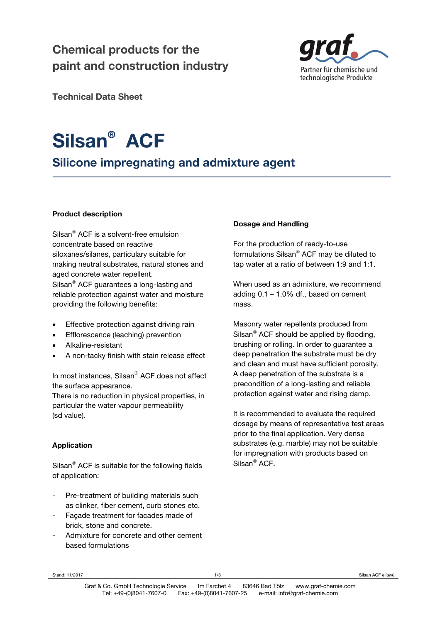# **Chemical products for the paint and construction industry**



**Technical Data Sheet** 

# **Silsan® ACF**

# **Silicone impregnating and admixture agent**

# **Product description**

Silsan $^{\circledR}$  ACF is a solvent-free emulsion concentrate based on reactive siloxanes/silanes, particulary suitable for making neutral substrates, natural stones and aged concrete water repellent. Silsan<sup>®</sup> ACF guarantees a long-lasting and

reliable protection against water and moisture providing the following benefits:

- Effective protection against driving rain
- Efflorescence (leaching) prevention
- Alkaline-resistant
- A non-tacky finish with stain release effect

In most instances, Silsan® ACF does not affect the surface appearance.

There is no reduction in physical properties, in particular the water vapour permeability (sd value).

# **Application**

Silsan<sup>®</sup> ACF is suitable for the following fields of application:

- Pre-treatment of building materials such as clinker, fiber cement, curb stones etc.
- Facade treatment for facades made of brick, stone and concrete.
- Admixture for concrete and other cement based formulations

# **Dosage and Handling**

For the production of ready-to-use formulations Silsan® ACF may be diluted to tap water at a ratio of between 1:9 and 1:1.

When used as an admixture, we recommend adding 0.1 – 1.0% df., based on cement mass.

Masonry water repellents produced from Silsan $^{\circ}$  ACF should be applied by flooding, brushing or rolling. In order to guarantee a deep penetration the substrate must be dry and clean and must have sufficient porosity. A deep penetration of the substrate is a precondition of a long-lasting and reliable protection against water and rising damp.

It is recommended to evaluate the required dosage by means of representative test areas prior to the final application. Very dense substrates (e.g. marble) may not be suitable for impregnation with products based on Silsan<sup>®</sup> ACF.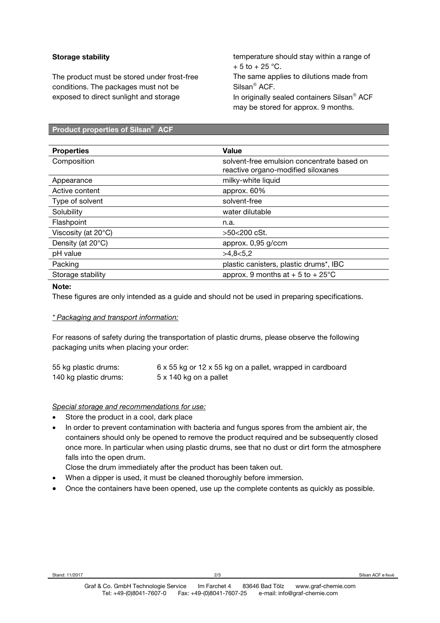# **Storage stability**

The product must be stored under frost-free conditions. The packages must not be exposed to direct sunlight and storage

temperature should stay within a range of  $+ 5$  to  $+ 25$  °C.

The same applies to dilutions made from Silsan<sup>®</sup> ACF. In originally sealed containers Silsan® ACF

may be stored for approx. 9 months.

#### **Product properties of Silsan® ACF**

| <b>Properties</b>   | <b>Value</b>                                                                     |
|---------------------|----------------------------------------------------------------------------------|
| Composition         | solvent-free emulsion concentrate based on<br>reactive organo-modified siloxanes |
| Appearance          | milky-white liquid                                                               |
| Active content      | approx. $60\%$                                                                   |
| Type of solvent     | solvent-free                                                                     |
| Solubility          | water dilutable                                                                  |
| Flashpoint          | n.a.                                                                             |
| Viscosity (at 20°C) | >50<200 cSt.                                                                     |
| Density (at 20°C)   | approx. 0,95 g/ccm                                                               |
| pH value            | >4,8<5,2                                                                         |
| Packing             | plastic canisters, plastic drums*, IBC                                           |
| Storage stability   | approx. 9 months at $+5$ to $+25^{\circ}$ C                                      |

## **Note:**

These figures are only intended as a guide and should not be used in preparing specifications.

# *\* Packaging and transport information:*

For reasons of safety during the transportation of plastic drums, please observe the following packaging units when placing your order:

| 55 kg plastic drums:  | 6 x 55 kg or 12 x 55 kg on a pallet, wrapped in cardboard |
|-----------------------|-----------------------------------------------------------|
| 140 kg plastic drums: | 5 x 140 kg on a pallet                                    |

### *Special storage and recommendations for use:*

- Store the product in a cool, dark place
- In order to prevent contamination with bacteria and fungus spores from the ambient air, the containers should only be opened to remove the product required and be subsequently closed once more. In particular when using plastic drums, see that no dust or dirt form the atmosphere falls into the open drum.
- Close the drum immediately after the product has been taken out.
- When a dipper is used, it must be cleaned thoroughly before immersion.
- Once the containers have been opened, use up the complete contents as quickly as possible.